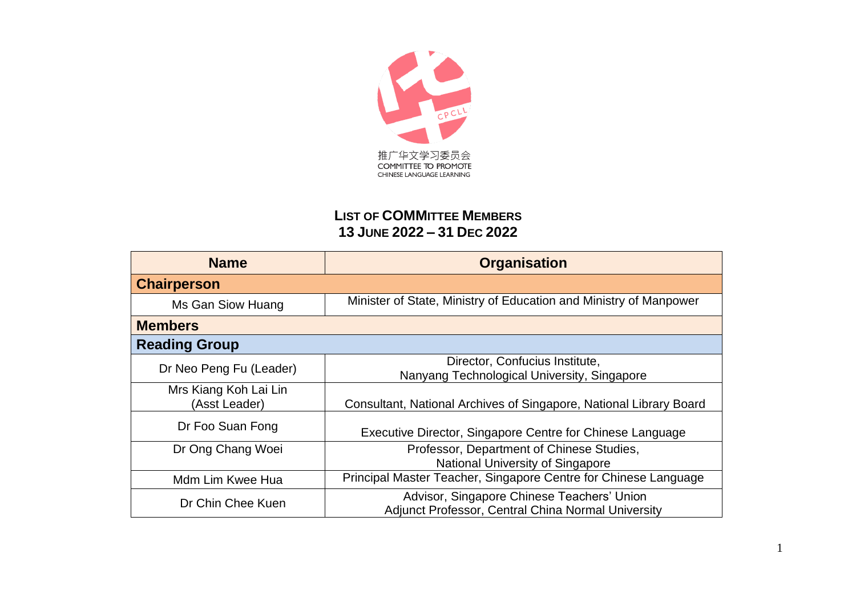

## **LIST OF COMMITTEE MEMBERS 13 JUNE 2022 – 31 DEC 2022**

| <b>Name</b>                            | <b>Organisation</b>                                                                              |
|----------------------------------------|--------------------------------------------------------------------------------------------------|
| <b>Chairperson</b>                     |                                                                                                  |
| Ms Gan Siow Huang                      | Minister of State, Ministry of Education and Ministry of Manpower                                |
| <b>Members</b>                         |                                                                                                  |
| <b>Reading Group</b>                   |                                                                                                  |
| Dr Neo Peng Fu (Leader)                | Director, Confucius Institute,<br>Nanyang Technological University, Singapore                    |
| Mrs Kiang Koh Lai Lin<br>(Asst Leader) | Consultant, National Archives of Singapore, National Library Board                               |
| Dr Foo Suan Fong                       | Executive Director, Singapore Centre for Chinese Language                                        |
| Dr Ong Chang Woei                      | Professor, Department of Chinese Studies,<br><b>National University of Singapore</b>             |
| Mdm Lim Kwee Hua                       | Principal Master Teacher, Singapore Centre for Chinese Language                                  |
| Dr Chin Chee Kuen                      | Advisor, Singapore Chinese Teachers' Union<br>Adjunct Professor, Central China Normal University |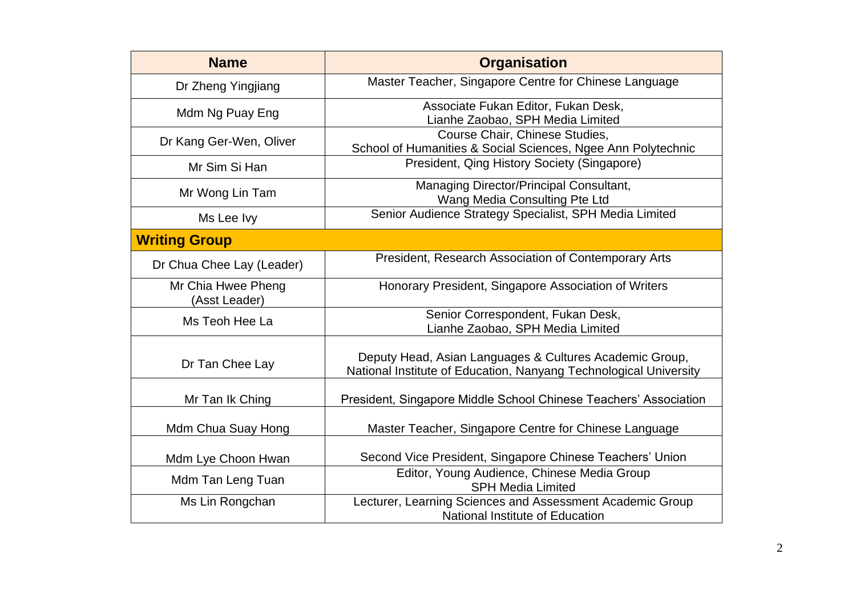| <b>Name</b>                         | <b>Organisation</b>                                                                                                          |
|-------------------------------------|------------------------------------------------------------------------------------------------------------------------------|
| Dr Zheng Yingjiang                  | Master Teacher, Singapore Centre for Chinese Language                                                                        |
| Mdm Ng Puay Eng                     | Associate Fukan Editor, Fukan Desk,<br>Lianhe Zaobao, SPH Media Limited                                                      |
| Dr Kang Ger-Wen, Oliver             | Course Chair, Chinese Studies,<br>School of Humanities & Social Sciences, Ngee Ann Polytechnic                               |
| Mr Sim Si Han                       | President, Qing History Society (Singapore)                                                                                  |
| Mr Wong Lin Tam                     | Managing Director/Principal Consultant,<br>Wang Media Consulting Pte Ltd                                                     |
| Ms Lee Ivy                          | Senior Audience Strategy Specialist, SPH Media Limited                                                                       |
| <b>Writing Group</b>                |                                                                                                                              |
| Dr Chua Chee Lay (Leader)           | President, Research Association of Contemporary Arts                                                                         |
| Mr Chia Hwee Pheng<br>(Asst Leader) | Honorary President, Singapore Association of Writers                                                                         |
| Ms Teoh Hee La                      | Senior Correspondent, Fukan Desk,<br>Lianhe Zaobao, SPH Media Limited                                                        |
| Dr Tan Chee Lay                     | Deputy Head, Asian Languages & Cultures Academic Group,<br>National Institute of Education, Nanyang Technological University |
| Mr Tan Ik Ching                     | President, Singapore Middle School Chinese Teachers' Association                                                             |
| Mdm Chua Suay Hong                  | Master Teacher, Singapore Centre for Chinese Language                                                                        |
| Mdm Lye Choon Hwan                  | Second Vice President, Singapore Chinese Teachers' Union                                                                     |
| Mdm Tan Leng Tuan                   | Editor, Young Audience, Chinese Media Group<br><b>SPH Media Limited</b>                                                      |
| Ms Lin Rongchan                     | Lecturer, Learning Sciences and Assessment Academic Group<br>National Institute of Education                                 |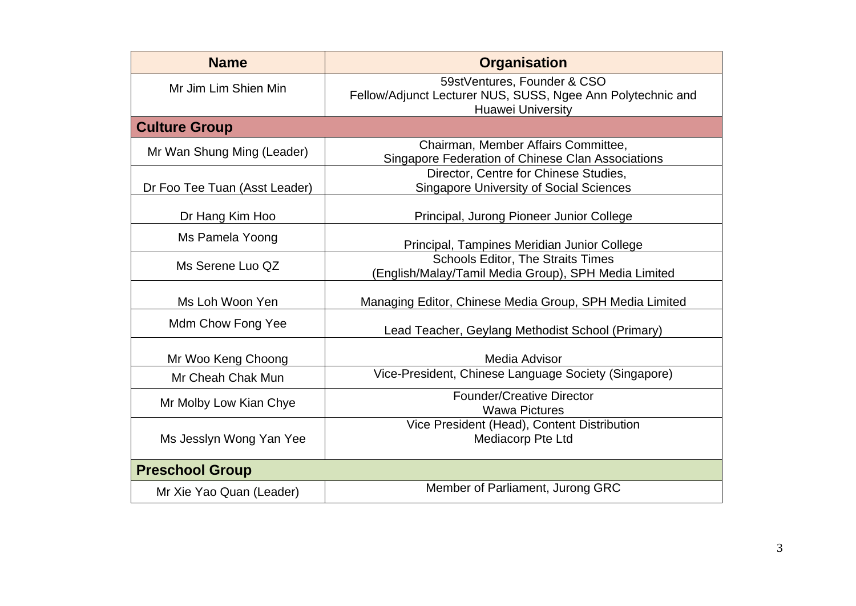| <b>Name</b>                   | <b>Organisation</b>                                                                                                    |
|-------------------------------|------------------------------------------------------------------------------------------------------------------------|
| Mr Jim Lim Shien Min          | 59stVentures, Founder & CSO<br>Fellow/Adjunct Lecturer NUS, SUSS, Ngee Ann Polytechnic and<br><b>Huawei University</b> |
| <b>Culture Group</b>          |                                                                                                                        |
| Mr Wan Shung Ming (Leader)    | Chairman, Member Affairs Committee,<br>Singapore Federation of Chinese Clan Associations                               |
| Dr Foo Tee Tuan (Asst Leader) | Director, Centre for Chinese Studies,<br><b>Singapore University of Social Sciences</b>                                |
| Dr Hang Kim Hoo               | Principal, Jurong Pioneer Junior College                                                                               |
| Ms Pamela Yoong               | Principal, Tampines Meridian Junior College                                                                            |
| Ms Serene Luo QZ              | <b>Schools Editor, The Straits Times</b><br>(English/Malay/Tamil Media Group), SPH Media Limited                       |
| Ms Loh Woon Yen               | Managing Editor, Chinese Media Group, SPH Media Limited                                                                |
| Mdm Chow Fong Yee             | Lead Teacher, Geylang Methodist School (Primary)                                                                       |
| Mr Woo Keng Choong            | Media Advisor                                                                                                          |
| Mr Cheah Chak Mun             | Vice-President, Chinese Language Society (Singapore)                                                                   |
| Mr Molby Low Kian Chye        | <b>Founder/Creative Director</b><br><b>Wawa Pictures</b>                                                               |
| Ms Jesslyn Wong Yan Yee       | Vice President (Head), Content Distribution<br>Mediacorp Pte Ltd                                                       |
| <b>Preschool Group</b>        |                                                                                                                        |
| Mr Xie Yao Quan (Leader)      | Member of Parliament, Jurong GRC                                                                                       |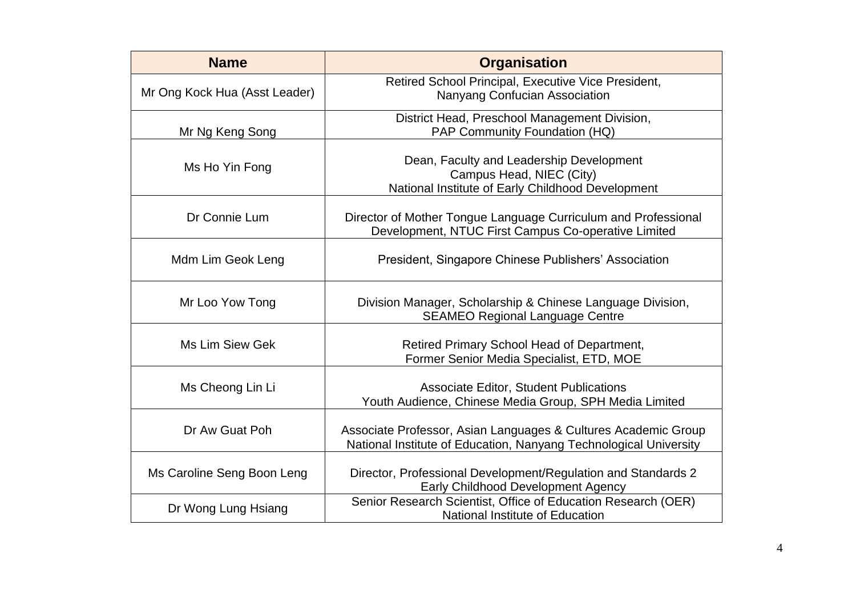| <b>Name</b>                   | <b>Organisation</b>                                                                                                                 |
|-------------------------------|-------------------------------------------------------------------------------------------------------------------------------------|
| Mr Ong Kock Hua (Asst Leader) | Retired School Principal, Executive Vice President,<br>Nanyang Confucian Association                                                |
| Mr Ng Keng Song               | District Head, Preschool Management Division,<br>PAP Community Foundation (HQ)                                                      |
| Ms Ho Yin Fong                | Dean, Faculty and Leadership Development<br>Campus Head, NIEC (City)<br>National Institute of Early Childhood Development           |
| Dr Connie Lum                 | Director of Mother Tongue Language Curriculum and Professional<br>Development, NTUC First Campus Co-operative Limited               |
| Mdm Lim Geok Leng             | President, Singapore Chinese Publishers' Association                                                                                |
| Mr Loo Yow Tong               | Division Manager, Scholarship & Chinese Language Division,<br><b>SEAMEO Regional Language Centre</b>                                |
| <b>Ms Lim Siew Gek</b>        | Retired Primary School Head of Department,<br>Former Senior Media Specialist, ETD, MOE                                              |
| Ms Cheong Lin Li              | <b>Associate Editor, Student Publications</b><br>Youth Audience, Chinese Media Group, SPH Media Limited                             |
| Dr Aw Guat Poh                | Associate Professor, Asian Languages & Cultures Academic Group<br>National Institute of Education, Nanyang Technological University |
| Ms Caroline Seng Boon Leng    | Director, Professional Development/Regulation and Standards 2<br><b>Early Childhood Development Agency</b>                          |
| Dr Wong Lung Hsiang           | Senior Research Scientist, Office of Education Research (OER)<br>National Institute of Education                                    |